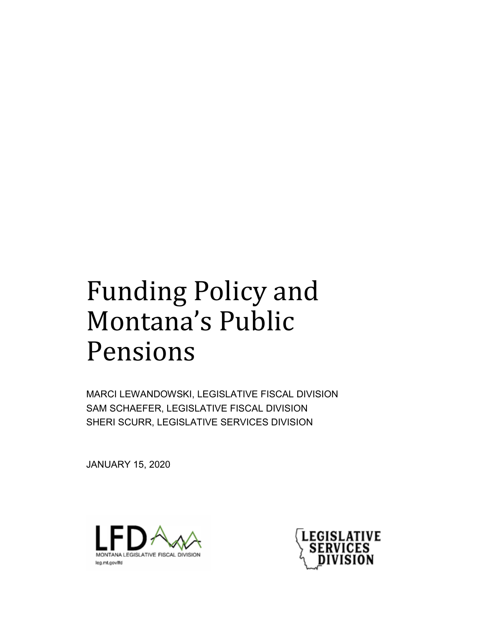# Funding Policy and Montana's Public Pensions

MARCI LEWANDOWSKI, LEGISLATIVE FISCAL DIVISION SAM SCHAEFER, LEGISLATIVE FISCAL DIVISION SHERI SCURR, LEGISLATIVE SERVICES DIVISION

JANUARY 15, 2020



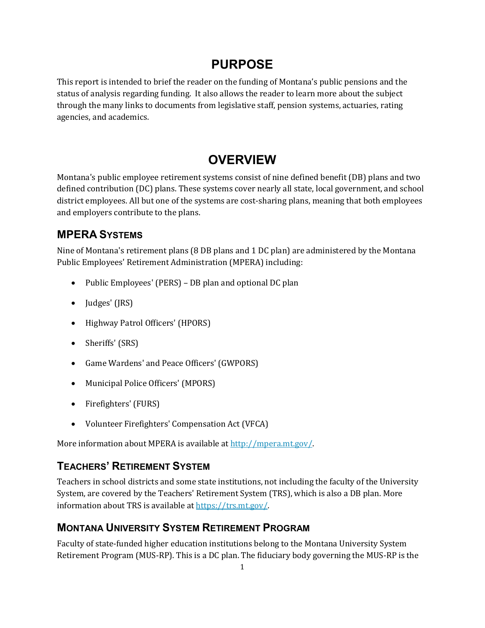## **PURPOSE**

This report is intended to brief the reader on the funding of Montana's public pensions and the status of analysis regarding funding. It also allows the reader to learn more about the subject through the many links to documents from legislative staff, pension systems, actuaries, rating agencies, and academics.

# **OVERVIEW**

Montana's public employee retirement systems consist of nine defined benefit (DB) plans and two defined contribution (DC) plans. These systems cover nearly all state, local government, and school district employees. All but one of the systems are cost-sharing plans, meaning that both employees and employers contribute to the plans.

### **MPERA SYSTEMS**

Nine of Montana's retirement plans (8 DB plans and 1 DC plan) are administered by the Montana Public Employees' Retirement Administration (MPERA) including:

- Public Employees' (PERS) DB plan and optional DC plan
- Judges' (JRS)
- Highway Patrol Officers' (HPORS)
- Sheriffs' (SRS)
- Game Wardens' and Peace Officers' (GWPORS)
- Municipal Police Officers' (MPORS)
- Firefighters' (FURS)
- Volunteer Firefighters' Compensation Act (VFCA)

More information about MPERA is available at [http://mpera.mt.gov/.](http://mpera.mt.gov/) 

### **TEACHERS' RETIREMENT SYSTEM**

Teachers in school districts and some state institutions, not including the faculty of the University System, are covered by the Teachers' Retirement System (TRS), which is also a DB plan. More information about TRS is available a[t https://trs.mt.gov/.](https://trs.mt.gov/)

### **MONTANA UNIVERSITY SYSTEM RETIREMENT PROGRAM**

Faculty of state-funded higher education institutions belong to the Montana University System Retirement Program (MUS-RP). This is a DC plan. The fiduciary body governing the MUS-RP is the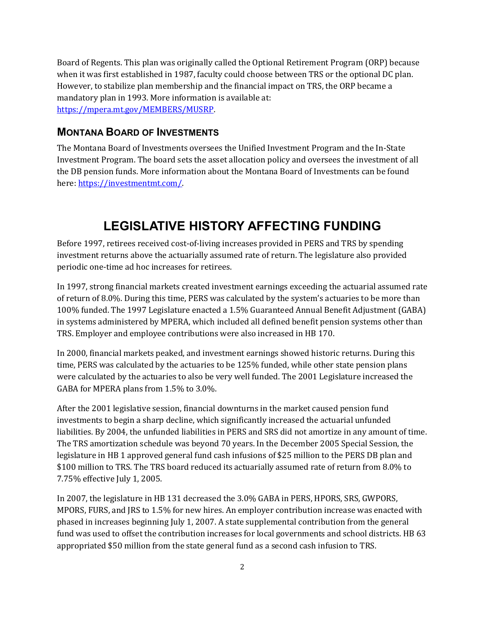Board of Regents. This plan was originally called the Optional Retirement Program (ORP) because when it was first established in 1987, faculty could choose between TRS or the optional DC plan. However, to stabilize plan membership and the financial impact on TRS, the ORP became a mandatory plan in 1993. More information is available at: [https://mpera.mt.gov/MEMBERS/MUSRP.](https://mpera.mt.gov/MEMBERS/MUSRP)

### **MONTANA BOARD OF INVESTMENTS**

The Montana Board of Investments oversees the Unified Investment Program and the In-State Investment Program. The board sets the asset allocation policy and oversees the investment of all the DB pension funds. More information about the Montana Board of Investments can be found here[: https://investmentmt.com/.](https://investmentmt.com/)

# **LEGISLATIVE HISTORY AFFECTING FUNDING**

Before 1997, retirees received cost-of-living increases provided in PERS and TRS by spending investment returns above the actuarially assumed rate of return. The legislature also provided periodic one-time ad hoc increases for retirees.

In 1997, strong financial markets created investment earnings exceeding the actuarial assumed rate of return of 8.0%. During this time, PERS was calculated by the system's actuaries to be more than 100% funded. The 1997 Legislature enacted a 1.5% Guaranteed Annual Benefit Adjustment (GABA) in systems administered by MPERA, which included all defined benefit pension systems other than TRS. Employer and employee contributions were also increased in HB 170.

In 2000, financial markets peaked, and investment earnings showed historic returns. During this time, PERS was calculated by the actuaries to be 125% funded, while other state pension plans were calculated by the actuaries to also be very well funded. The 2001 Legislature increased the GABA for MPERA plans from 1.5% to 3.0%.

After the 2001 legislative session, financial downturns in the market caused pension fund investments to begin a sharp decline, which significantly increased the actuarial unfunded liabilities. By 2004, the unfunded liabilities in PERS and SRS did not amortize in any amount of time. The TRS amortization schedule was beyond 70 years. In the December 2005 Special Session, the legislature in HB 1 approved general fund cash infusions of \$25 million to the PERS DB plan and \$100 million to TRS. The TRS board reduced its actuarially assumed rate of return from 8.0% to 7.75% effective July 1, 2005.

In 2007, the legislature in HB 131 decreased the 3.0% GABA in PERS, HPORS, SRS, GWPORS, MPORS, FURS, and JRS to 1.5% for new hires. An employer contribution increase was enacted with phased in increases beginning July 1, 2007. A state supplemental contribution from the general fund was used to offset the contribution increases for local governments and school districts. HB 63 appropriated \$50 million from the state general fund as a second cash infusion to TRS.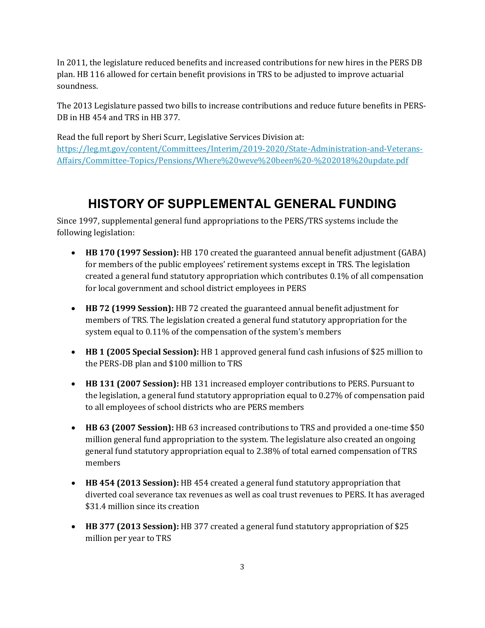In 2011, the legislature reduced benefits and increased contributions for new hires in the PERS DB plan. HB 116 allowed for certain benefit provisions in TRS to be adjusted to improve actuarial soundness.

The 2013 Legislature passed two bills to increase contributions and reduce future benefits in PERS-DB in HB 454 and TRS in HB 377.

Read the full report by Sheri Scurr, Legislative Services Division at: [https://leg.mt.gov/content/Committees/Interim/2019-2020/State-Administration-and-Veterans-](https://leg.mt.gov/content/Committees/Interim/2019-2020/State-Administration-and-Veterans-Affairs/Committee-Topics/Pensions/Where%20weve%20been%20-%202018%20update.pdf)[Affairs/Committee-Topics/Pensions/Where%20weve%20been%20-%202018%20update.pdf](https://leg.mt.gov/content/Committees/Interim/2019-2020/State-Administration-and-Veterans-Affairs/Committee-Topics/Pensions/Where%20weve%20been%20-%202018%20update.pdf)

# **HISTORY OF SUPPLEMENTAL GENERAL FUNDING**

Since 1997, supplemental general fund appropriations to the PERS/TRS systems include the following legislation:

- **HB 170 (1997 Session):** HB 170 created the guaranteed annual benefit adjustment (GABA) for members of the public employees' retirement systems except in TRS. The legislation created a general fund statutory appropriation which contributes 0.1% of all compensation for local government and school district employees in PERS
- **HB 72 (1999 Session):** HB 72 created the guaranteed annual benefit adjustment for members of TRS. The legislation created a general fund statutory appropriation for the system equal to 0.11% of the compensation of the system's members
- **HB 1 (2005 Special Session):** HB 1 approved general fund cash infusions of \$25 million to the PERS-DB plan and \$100 million to TRS
- **HB 131 (2007 Session):** HB 131 increased employer contributions to PERS. Pursuant to the legislation, a general fund statutory appropriation equal to 0.27% of compensation paid to all employees of school districts who are PERS members
- **HB 63 (2007 Session):** HB 63 increased contributions to TRS and provided a one-time \$50 million general fund appropriation to the system. The legislature also created an ongoing general fund statutory appropriation equal to 2.38% of total earned compensation of TRS members
- **HB 454 (2013 Session):** HB 454 created a general fund statutory appropriation that diverted coal severance tax revenues as well as coal trust revenues to PERS. It has averaged \$31.4 million since its creation
- **HB 377 (2013 Session):** HB 377 created a general fund statutory appropriation of \$25 million per year to TRS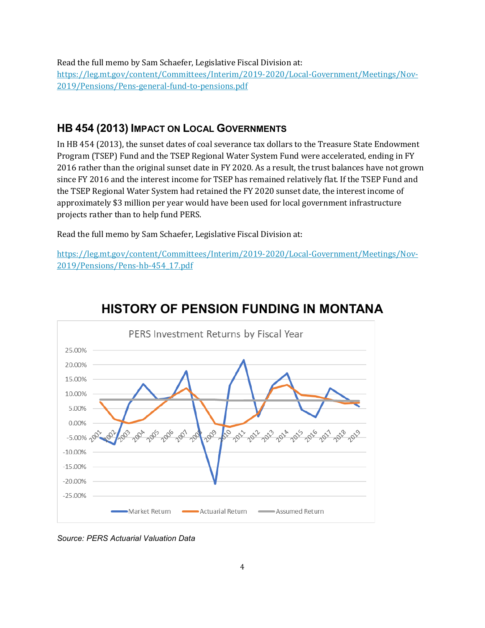Read the full memo by Sam Schaefer, Legislative Fiscal Division at: [https://leg.mt.gov/content/Committees/Interim/2019-2020/Local-Government/Meetings/Nov-](https://leg.mt.gov/content/Committees/Interim/2019-2020/Local-Government/Meetings/Nov-2019/Pensions/Pens-general-fund-to-pensions.pdf)[2019/Pensions/Pens-general-fund-to-pensions.pdf](https://leg.mt.gov/content/Committees/Interim/2019-2020/Local-Government/Meetings/Nov-2019/Pensions/Pens-general-fund-to-pensions.pdf)

### **HB 454 (2013) IMPACT ON LOCAL GOVERNMENTS**

In HB 454 (2013), the sunset dates of coal severance tax dollars to the Treasure State Endowment Program (TSEP) Fund and the TSEP Regional Water System Fund were accelerated, ending in FY 2016 rather than the original sunset date in FY 2020. As a result, the trust balances have not grown since FY 2016 and the interest income for TSEP has remained relatively flat. If the TSEP Fund and the TSEP Regional Water System had retained the FY 2020 sunset date, the interest income of approximately \$3 million per year would have been used for local government infrastructure projects rather than to help fund PERS.

Read the full memo by Sam Schaefer, Legislative Fiscal Division at:

[https://leg.mt.gov/content/Committees/Interim/2019-2020/Local-Government/Meetings/Nov-](https://leg.mt.gov/content/Committees/Interim/2019-2020/Local-Government/Meetings/Nov-2019/Pensions/Pens-hb-454_17.pdf)[2019/Pensions/Pens-hb-454\\_17.pdf](https://leg.mt.gov/content/Committees/Interim/2019-2020/Local-Government/Meetings/Nov-2019/Pensions/Pens-hb-454_17.pdf)



# **HISTORY OF PENSION FUNDING IN MONTANA**

*Source: PERS Actuarial Valuation Data*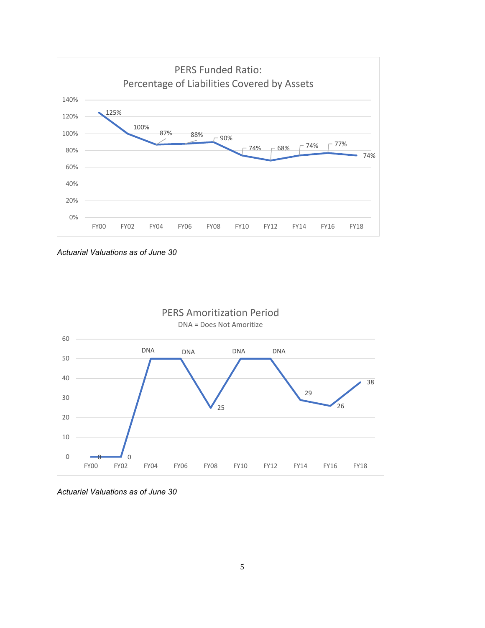

*Actuarial Valuations as of June 30*



*Actuarial Valuations as of June 30*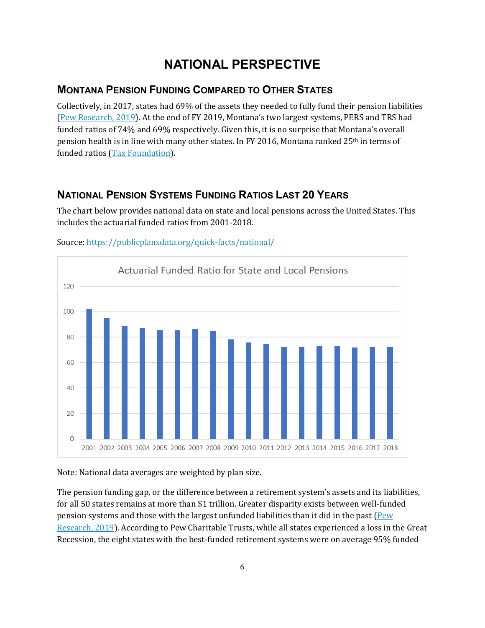# **NATIONAL PERSPECTIVE**

### **MONTANA PENSION FUNDING COMPARED TO OTHER STATES**

Collectively, in 2017, states had 69% of the assets they needed to fully fund their pension liabilities [\(Pew Research, 2019\)](https://www.pewtrusts.org/en/research-and-analysis/issue-briefs/2019/06/the-state-pension-funding-gap-2017). At the end of FY 2019, Montana's two largest systems, PERS and TRS had funded ratios of 74% and 69% respectively. Given this, it is no surprise that Montana's overall pension health is in line with many other states. In FY 2016, Montana ranked 25th in terms of funded ratios [\(Tax Foundation\)](https://taxfoundation.org/state-pensions-funding-2018/).

### **NATIONAL PENSION SYSTEMS FUNDING RATIOS LAST 20 YEARS**

The chart below provides national data on state and local pensions across the United States. This includes the actuarial funded ratios from 2001-2018.



Source[: https://publicplansdata.org/quick-facts/national/](https://publicplansdata.org/quick-facts/national/)

Note: National data averages are weighted by plan size.

The pension funding gap, or the difference between a retirement system's assets and its liabilities, for all 50 states remains at more than \$1 trillion. Greater disparity exists between well-funded pension systems and those with the largest unfunded liabilities than it did in the past [\(Pew](https://www.pewtrusts.org/en/research-and-analysis/issue-briefs/2019/06/the-state-pension-funding-gap-2017)  [Research, 2019\)](https://www.pewtrusts.org/en/research-and-analysis/issue-briefs/2019/06/the-state-pension-funding-gap-2017). According to Pew Charitable Trusts, while all states experienced a loss in the Great Recession, the eight states with the best-funded retirement systems were on average 95% funded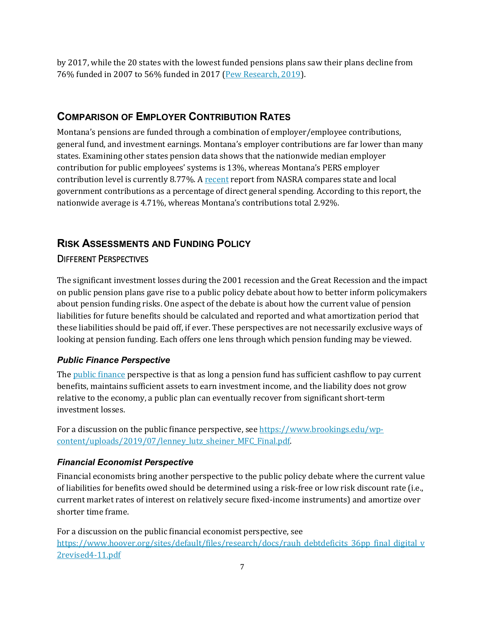by 2017, while the 20 states with the lowest funded pensions plans saw their plans decline from 76% funded in 2007 to 56% funded in 2017 [\(Pew Research, 2019\)](https://www.pewtrusts.org/en/research-and-analysis/issue-briefs/2019/06/the-state-pension-funding-gap-2017).

### **COMPARISON OF EMPLOYER CONTRIBUTION RATES**

Montana's pensions are funded through a combination of employer/employee contributions, general fund, and investment earnings. Montana's employer contributions are far lower than many states. Examining other states pension data shows that the nationwide median employer contribution for public employees' systems is 13%, whereas Montana's PERS employer contribution level is currently 8.77%. A [recent](https://www.nasra.org/files/Issue%20Briefs/NASRACostsBrief.pdf) report from NASRA compares state and local government contributions as a percentage of direct general spending. According to this report, the nationwide average is 4.71%, whereas Montana's contributions total 2.92%.

# **RISK ASSESSMENTS AND FUNDING POLICY**

### DIFFERENT PERSPECTIVES

The significant investment losses during the 2001 recession and the Great Recession and the impact on public pension plans gave rise to a public policy debate about how to better inform policymakers about pension funding risks. One aspect of the debate is about how the current value of pension liabilities for future benefits should be calculated and reported and what amortization period that these liabilities should be paid off, if ever. These perspectives are not necessarily exclusive ways of looking at pension funding. Each offers one lens through which pension funding may be viewed.

### *Public Finance Perspective*

Th[e public finance](https://www.brookings.edu/blog/up-front/2019/07/15/how-bad-is-the-state-and-local-pension-crisis-really/) perspective is that as long a pension fund has sufficient cashflow to pay current benefits, maintains sufficient assets to earn investment income, and the liability does not grow relative to the economy, a public plan can eventually recover from significant short-term investment losses.

For a discussion on the public finance perspective, se[e https://www.brookings.edu/wp](https://www.brookings.edu/wp-content/uploads/2019/07/lenney_lutz_sheiner_MFC_Final.pdf)[content/uploads/2019/07/lenney\\_lutz\\_sheiner\\_MFC\\_Final.pdf.](https://www.brookings.edu/wp-content/uploads/2019/07/lenney_lutz_sheiner_MFC_Final.pdf)

#### *Financial Economist Perspective*

Financial economists bring another perspective to the public policy debate where the current value of liabilities for benefits owed should be determined using a risk-free or low risk discount rate (i.e., current market rates of interest on relatively secure fixed-income instruments) and amortize over shorter time frame.

For a discussion on the public financial economist perspective, see [https://www.hoover.org/sites/default/files/research/docs/rauh\\_debtdeficits\\_36pp\\_final\\_digital\\_v](https://www.hoover.org/sites/default/files/research/docs/rauh_debtdeficits_36pp_final_digital_v2revised4-11.pdf) [2revised4-11.pdf](https://www.hoover.org/sites/default/files/research/docs/rauh_debtdeficits_36pp_final_digital_v2revised4-11.pdf)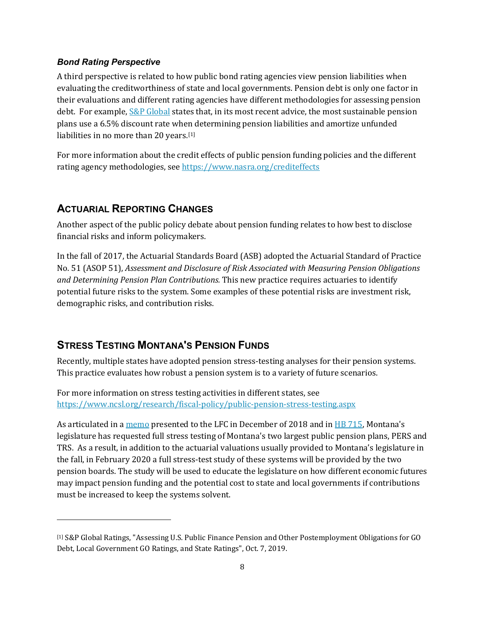#### *Bond Rating Perspective*

A third perspective is related to how public bond rating agencies view pension liabilities when evaluating the creditworthiness of state and local governments. Pension debt is only one factor in their evaluations and different rating agencies have different methodologies for assessing pension debt. For example,  $S\&P$  Global states that, in its most recent advice, the most sustainable pension plans use a 6.5% discount rate when determining pension liabilities and amortize unfunded liabilities in no more than 20 years.[\[1\]](#page-8-0)

For more information about the credit effects of public pension funding policies and the different rating agency methodologies, see<https://www.nasra.org/crediteffects>

### **ACTUARIAL REPORTING CHANGES**

j

Another aspect of the public policy debate about pension funding relates to how best to disclose financial risks and inform policymakers.

In the fall of 2017, the Actuarial Standards Board (ASB) adopted the Actuarial Standard of Practice No. 51 (ASOP 51), *Assessment and Disclosure of Risk Associated with Measuring Pension Obligations and Determining Pension Plan Contributions.* This new practice requires actuaries to identify potential future risks to the system. Some examples of these potential risks are investment risk, demographic risks, and contribution risks.

### **STRESS TESTING MONTANA'S PENSION FUNDS**

Recently, multiple states have adopted pension stress-testing analyses for their pension systems. This practice evaluates how robust a pension system is to a variety of future scenarios.

For more information on stress testing activities in different states, see <https://www.ncsl.org/research/fiscal-policy/public-pension-stress-testing.aspx>

As articulated in a [memo](https://leg.mt.gov/content/Publications/fiscal/interim/Dec-2018/LFC_pension_memo.pdf) presented to the LFC in December of 2018 and in [HB 715,](https://leg.mt.gov/bills/2019/billpdf/HB0715.pdf) Montana's legislature has requested full stress testing of Montana's two largest public pension plans, PERS and TRS. As a result, in addition to the actuarial valuations usually provided to Montana's legislature in the fall, in February 2020 a full stress-test study of these systems will be provided by the two pension boards. The study will be used to educate the legislature on how different economic futures may impact pension funding and the potential cost to state and local governments if contributions must be increased to keep the systems solvent.

<span id="page-8-0"></span><sup>[1]</sup> S&P Global Ratings, "Assessing U.S. Public Finance Pension and Other Postemployment Obligations for GO Debt, Local Government GO Ratings, and State Ratings", Oct. 7, 2019.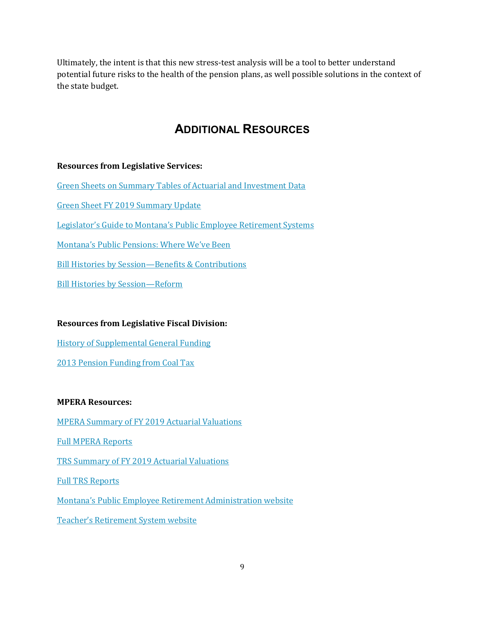Ultimately, the intent is that this new stress-test analysis will be a tool to better understand potential future risks to the health of the pension plans, as well possible solutions in the context of the state budget.

### **ADDITIONAL RESOURCES**

### **Resources from Legislative Services:**

Green [Sheets on Summary Tables of Actuarial and Investment Data](https://leg.mt.gov/content/Committees/Interim/2019-2020/State-Administration-and-Veterans-Affairs/Committee-Topics/Pensions/GreenSheets2018.pdf)

[Green Sheet FY 2019 Summary Update](https://leg.mt.gov/content/Committees/Interim/2019-2020/State-Administration-and-Veterans-Affairs/Committee-Topics/Pensions/GreenSheets2019_COVER.pdf)

[Legislator's Guide to Montana's Public Employee Retirement Systems](https://leg.mt.gov/content/Committees/Interim/2019-2020/State-Administration-and-Veterans-Affairs/Committee-Topics/Pensions/GuidePensions2018%20FINAL.pdf)

[Montana's Public Pensions: Where We've Been](https://leg.mt.gov/content/Committees/Interim/2019-2020/State-Administration-and-Veterans-Affairs/Committee-Topics/Pensions/Where%20weve%20been%20-%202018%20update.pdf)

Bill Histories by [Session—Benefits & Contributions](https://leg.mt.gov/content/Committees/Interim/2019-2020/State-Administration-and-Veterans-Affairs/Committee-Topics/Pensions/BillHistory_PensionBenefits.pdf)

[Bill Histories by Session—Reform](https://leg.mt.gov/content/Committees/Interim/2019-2020/State-Administration-and-Veterans-Affairs/Committee-Topics/Pensions/BillHistory_PensionReform.pdf)

### **Resources from Legislative Fiscal Division:**

[History of Supplemental General Funding](https://leg.mt.gov/content/Committees/Interim/2019-2020/Local-Government/Meetings/Nov-2019/Pensions/Pens-general-fund-to-pensions.pdf)

[2013 Pension Funding from Coal Tax](https://leg.mt.gov/content/Committees/Interim/2019-2020/Local-Government/Meetings/Nov-2019/Pensions/Pens-hb-454_17.pdf)

#### **MPERA Resources:**

[MPERA Summary of FY 2019 Actuarial Valuations](http://mpera.mt.gov/Portals/175/documents/Actuarial_Info/2019/10.04.19%202019%20MT%20PERS%20Valuation%20Report.pdf?ver=2019-10-11-102335-417)

[Full MPERA Reports](http://mpera.mt.gov/ABOUT/ActuarialStudies)

[TRS Summary of FY 2019 Actuarial Valuations](https://leg.mt.gov/content/Committees/Interim/2019-2020/State-Administration-and-Veterans-Affairs/Meetings/Oct-2019/TRS_SAVA_valuation_summary_2019.pdf)

[Full TRS Reports](https://trs.mt.gov/TrsInfo/NewsAnnualReports)

[Montana's Public Employee Retirement Administration website](https://mpera.mt.gov/)

[Teacher's Retirement System website](https://trs.mt.gov/)